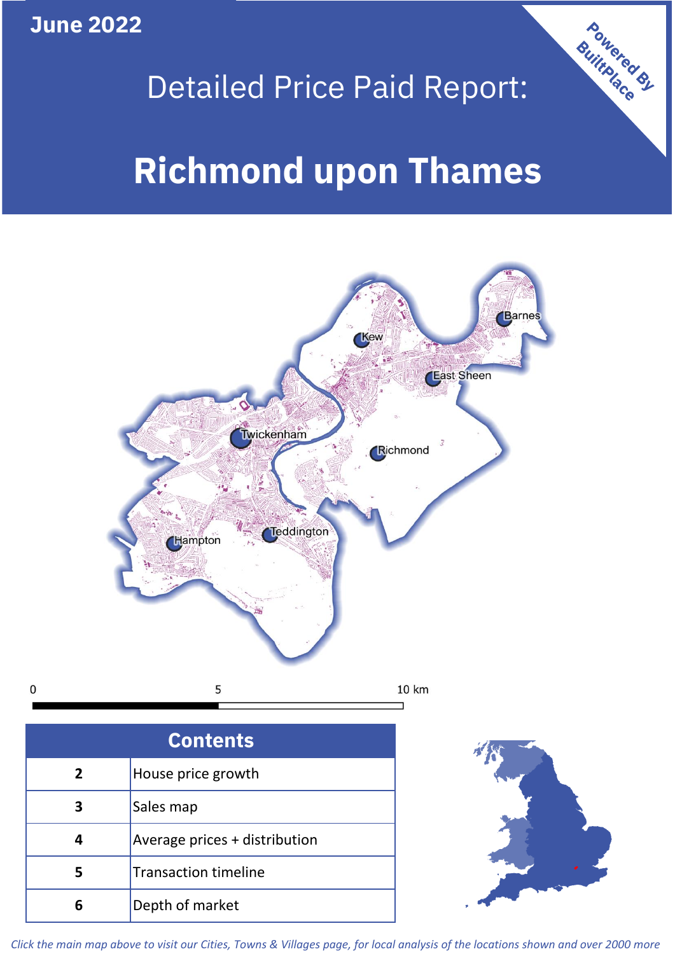**June 2022**

 $\mathbf 0$ 

## Detailed Price Paid Report:

# **Richmond upon Thames**



| <b>Contents</b> |                               |  |  |
|-----------------|-------------------------------|--|--|
| 2               | House price growth            |  |  |
| 3               | Sales map                     |  |  |
|                 | Average prices + distribution |  |  |
| 5               | <b>Transaction timeline</b>   |  |  |
|                 | Depth of market               |  |  |



Powered By

*Click the main map above to visit our Cities, Towns & Villages page, for local analysis of the locations shown and over 2000 more*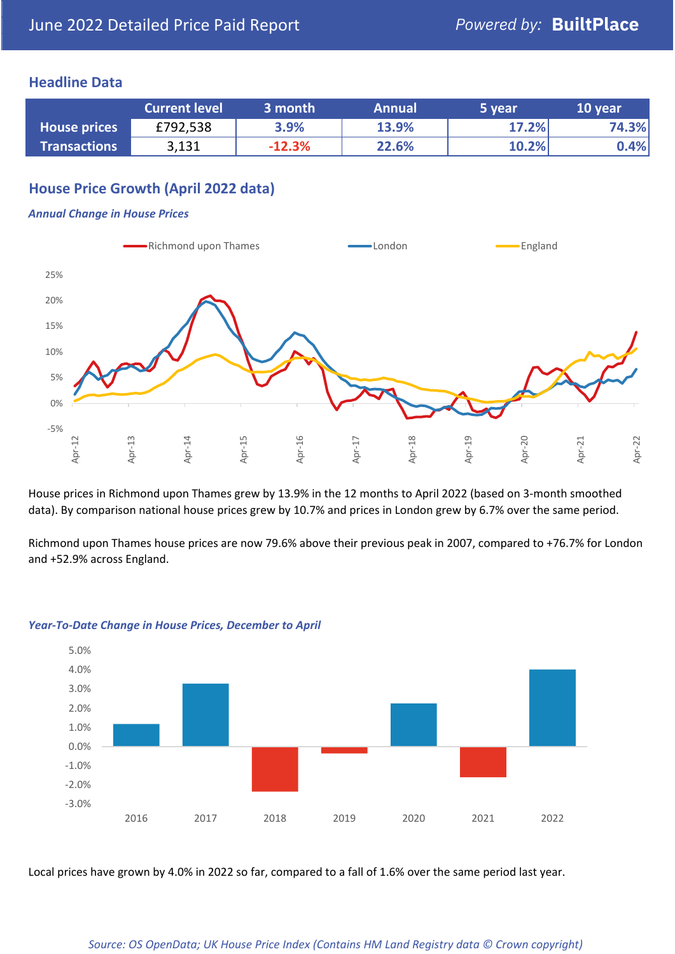## **Headline Data**

|                     | <b>Current level</b> | 3 month  | <b>Annual</b> | 5 year | 10 year |
|---------------------|----------------------|----------|---------------|--------|---------|
| <b>House prices</b> | £792,538             | 3.9%     | 13.9%         | 17.2%  | 74.3%   |
| <b>Transactions</b> | 3,131                | $-12.3%$ | 22.6%         | 10.2%  | 0.4%    |

## **House Price Growth (April 2022 data)**

#### *Annual Change in House Prices*



House prices in Richmond upon Thames grew by 13.9% in the 12 months to April 2022 (based on 3-month smoothed data). By comparison national house prices grew by 10.7% and prices in London grew by 6.7% over the same period.

Richmond upon Thames house prices are now 79.6% above their previous peak in 2007, compared to +76.7% for London and +52.9% across England.



#### *Year-To-Date Change in House Prices, December to April*

Local prices have grown by 4.0% in 2022 so far, compared to a fall of 1.6% over the same period last year.

#### *Source: OS OpenData; UK House Price Index (Contains HM Land Registry data © Crown copyright)*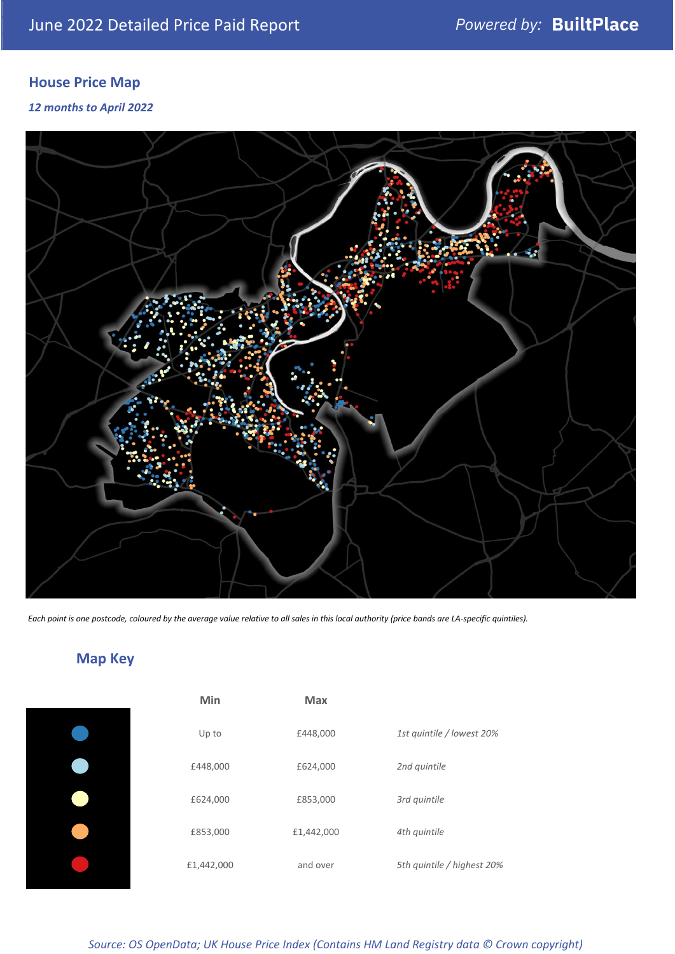## **House Price Map**

## *12 months to April 2022*



*Each point is one postcode, coloured by the average value relative to all sales in this local authority (price bands are LA-specific quintiles).*

## **Map Key**

|  | I |
|--|---|

| Min        | Max        |                            |
|------------|------------|----------------------------|
| Up to      | £448,000   | 1st quintile / lowest 20%  |
| £448,000   | £624,000   | 2nd quintile               |
| £624,000   | £853,000   | 3rd quintile               |
| £853,000   | £1,442,000 | 4th quintile               |
| £1,442,000 | and over   | 5th quintile / highest 20% |

*Source: OS OpenData; UK House Price Index (Contains HM Land Registry data © Crown copyright)*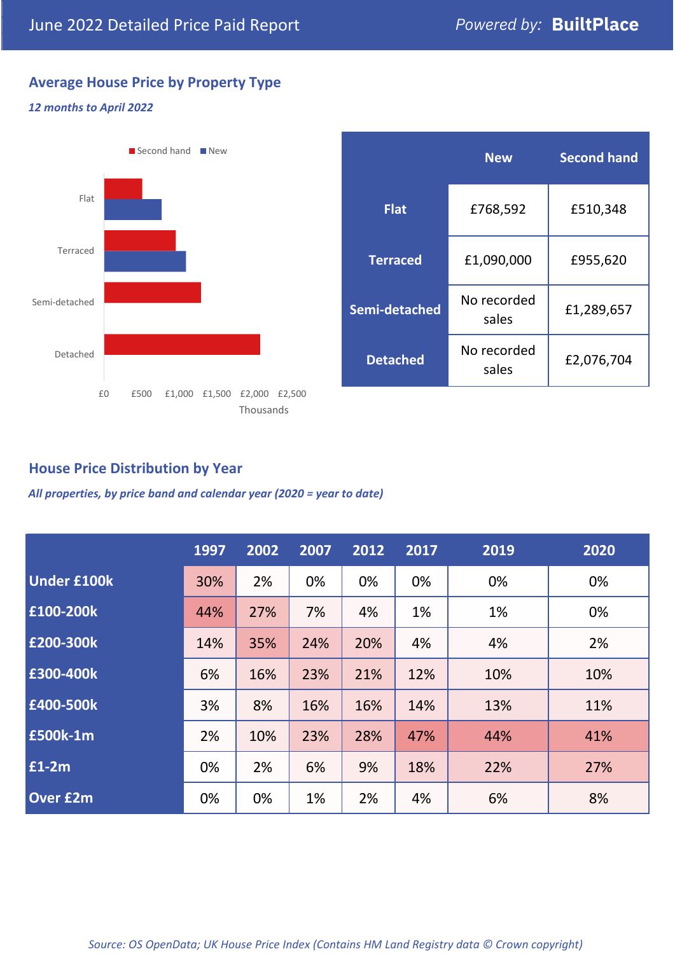£2,076,704

**Second hand**

## **Average House Price by Property Type**

### *12 months to April 2022*



## **House Price Distribution by Year**

*All properties, by price band and calendar year (2020 = year to date)*

|                    | 1997 | 2002 | 2007 | 2012 | 2017 | 2019 | 2020 |
|--------------------|------|------|------|------|------|------|------|
| <b>Under £100k</b> | 30%  | 2%   | 0%   | 0%   | 0%   | 0%   | 0%   |
| £100-200k          | 44%  | 27%  | 7%   | 4%   | 1%   | 1%   | 0%   |
| £200-300k          | 14%  | 35%  | 24%  | 20%  | 4%   | 4%   | 2%   |
| E300-400k          | 6%   | 16%  | 23%  | 21%  | 12%  | 10%  | 10%  |
| £400-500k          | 3%   | 8%   | 16%  | 16%  | 14%  | 13%  | 11%  |
| <b>£500k-1m</b>    | 2%   | 10%  | 23%  | 28%  | 47%  | 44%  | 41%  |
| £1-2m              | 0%   | 2%   | 6%   | 9%   | 18%  | 22%  | 27%  |
| <b>Over £2m</b>    | 0%   | 0%   | 1%   | 2%   | 4%   | 6%   | 8%   |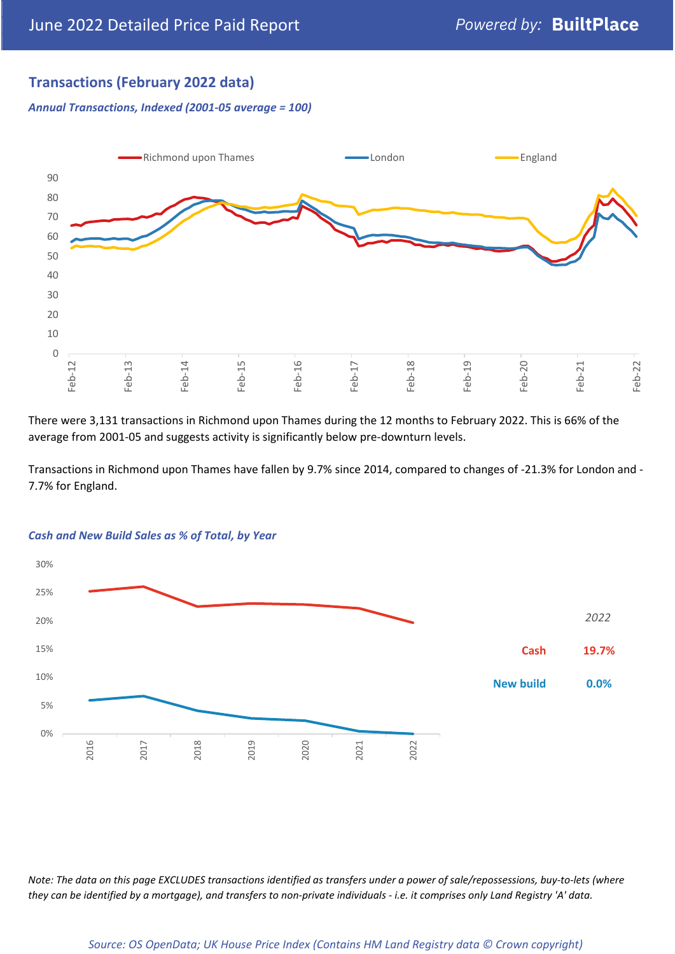## **Transactions (February 2022 data)**

*Annual Transactions, Indexed (2001-05 average = 100)*



There were 3,131 transactions in Richmond upon Thames during the 12 months to February 2022. This is 66% of the average from 2001-05 and suggests activity is significantly below pre-downturn levels.

Transactions in Richmond upon Thames have fallen by 9.7% since 2014, compared to changes of -21.3% for London and - 7.7% for England.



#### *Cash and New Build Sales as % of Total, by Year*

*Note: The data on this page EXCLUDES transactions identified as transfers under a power of sale/repossessions, buy-to-lets (where they can be identified by a mortgage), and transfers to non-private individuals - i.e. it comprises only Land Registry 'A' data.*